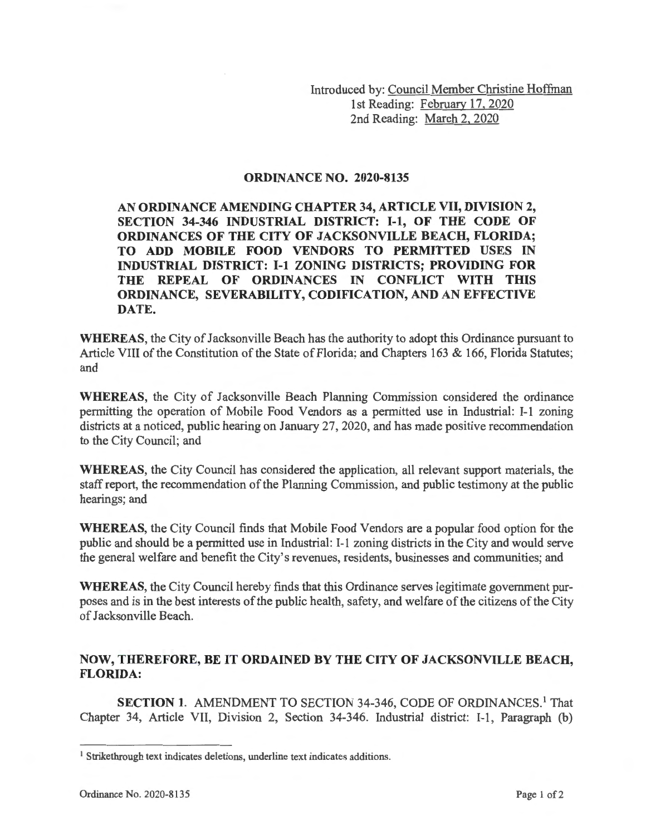Introduced by: Council Member Christine Hoffman 1st Reading: February 17, 2020 2nd Reading: March 2, 2020

## **ORDINANCE NO. 2020-8135**

**AN ORDINANCE AMENDING CHAPTER 34, ARTICLE VII, DIVISION 2, SECTION 34-346 INDUSTRIAL DISTRICT: 1-1, OF THE CODE OF ORDINANCES OF THE CITY OF JACKSONVILLE BEACH, FLORIDA; TO ADD MOBILE FOOD VENDORS TO PERMITTED USES IN INDUSTRIAL DISTRICT: 1-1 ZONING DISTRICTS; PROVIDING FOR THE REPEAL OF ORDINANCES IN CONFLICT WITH THIS ORDINANCE, SEVERABILITY, CODIFICATION, AND AN EFFECTIVE DATE.** 

**WHEREAS,** the City of Jacksonville Beach has the authority to adopt this Ordinance pursuant to Article VIII of the Constitution of the State of Florida; and Chapters 163 & 166, Florida Statutes; and

**WHEREAS,** the City of Jacksonville Beach Planning Commission considered the ordinance permitting the operation of Mobile Food Vendors as a permitted use in Industrial: **1-1** zoning districts at a noticed, public hearing on January 27, 2020, and has made positive recommendation to the City Council; and

**WHEREAS,** the City Council has considered the application, all relevant support materials, the staff report, the recommendation of the Planning Commission, and public testimony at the public hearings; and

**WHEREAS,** the City Council finds that Mobile Food Vendors are a popular food option for the public and should be a permitted use in Industrial: **1-1** zoning districts in the City and would serve the general welfare and benefit the City's revenues, residents, businesses and communities; and

**WHEREAS,** the City Council hereby finds that this Ordinance serves legitimate government purposes and is in the best interests of the public health, safety, and welfare of the citizens of the City of Jacksonville Beach.

## **NOW, THEREFORE, BE IT ORDAINED BY THE CITY OF JACKSONVILLE BEACH, FLORIDA:**

**SECTION 1. AMENDMENT TO SECTION 34-346, CODE OF ORDINANCES.<sup>1</sup> That** Chapter 34, Article VII, Division 2, Section 34-346. Industrial district: 1-1, Paragraph (b)

<sup>&</sup>lt;sup>1</sup> Strikethrough text indicates deletions, underline text indicates additions.